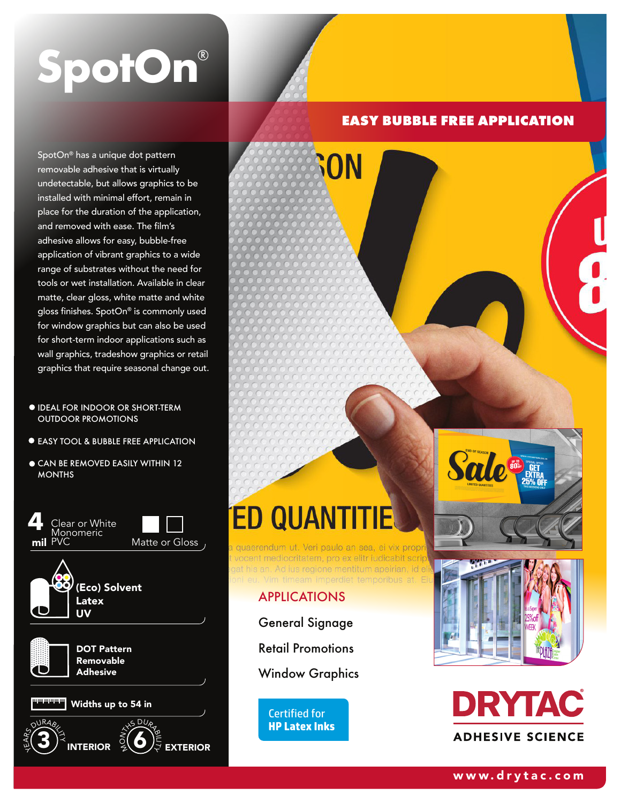# SpotOn®

SpotOn® has a unique dot pattern removable adhesive that is virtually undetectable, but allows graphics to be installed with minimal effort, remain in place for the duration of the application, and removed with ease. The film's adhesive allows for easy, bubble-free application of vibrant graphics to a wide range of substrates without the need for tools or wet installation. Available in clear matte, clear gloss, white matte and white gloss finishes. SpotOn® is commonly used for window graphics but can also be used for short-term indoor applications such as wall graphics, tradeshow graphics or retail graphics that require seasonal change out.

- IDEAL FOR INDOOR OR SHORT-TERM OUTDOOR PROMOTIONS
- EASY TOOL & BUBBLE FREE APPLICATION
- CAN BE REMOVED EASILY WITHIN 12 **MONTHS**





# **EASY BUBBLE FREE APPLICATION**

# **ED QUAN**

quaerendum ut. Veri paulo an sea, ei vix propr vocent mediocritatem, pro ex elitr iudicabit scrip jat his an. Ad ius regione mentitum apeir<mark>ian, id eli</mark> timeam imperdiet temporibus at. Ei

**GON** 

## APPLICATIONS

General Signage

Retail Promotions

Window Graphics

Certified for **HP Latex Inks**